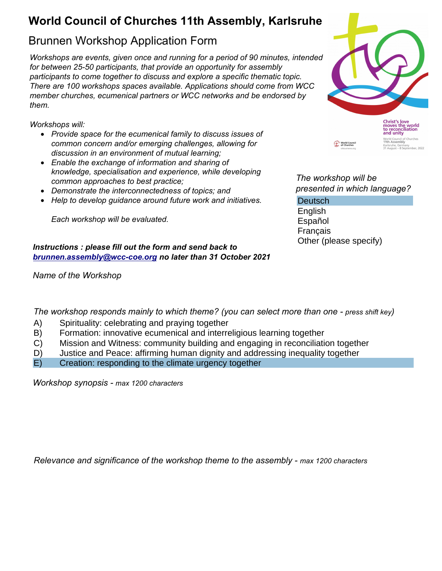## **World Council of Churches 11th Assembly, Karlsruhe**

## Brunnen Workshop Application Form

*Workshops are events, given once and running for a period of 90 minutes, intended for between 25-50 participants, that provide an opportunity for assembly participants to come together to discuss and explore a specific thematic topic. There are 100 workshops spaces available. Applications should come from WCC member churches, ecumenical partners or WCC networks and be endorsed by them.*

*Workshops will:*

- *Provide space for the ecumenical family to discuss issues of common concern and/or emerging challenges, allowing for discussion in an environment of mutual learning;*
- *Enable the exchange of information and sharing of knowledge, specialisation and experience, while developing common approaches to best practice;*
- *Demonstrate the interconnectedness of topics; and*
- *Help to develop guidance around future work and initiatives.*

*Each workshop will be evaluated.*

## *Instructions : please fill out the form and send back to [brunnen.assembly@wcc-coe.org](mailto:brunnen.assembly@wcc-coe.org) no later than 31 October 2021*

*Name of the Workshop*



*The workshop will be presented in which language?*

**Deutsch** English

Español Français Other (please specify)

*The workshop responds mainly to which theme? (you can select more than one - press shift key)*

- A) Spirituality: celebrating and praying together
- B) Formation: innovative ecumenical and interreligious learning together
- C) Mission and Witness: community building and engaging in reconciliation together
- D) Justice and Peace: affirming human dignity and addressing inequality together
- E) Creation: responding to the climate urgency together

*Workshop synopsis - max 1200 characters*

*Relevance and significance of the workshop theme to the assembly - max 1200 characters*